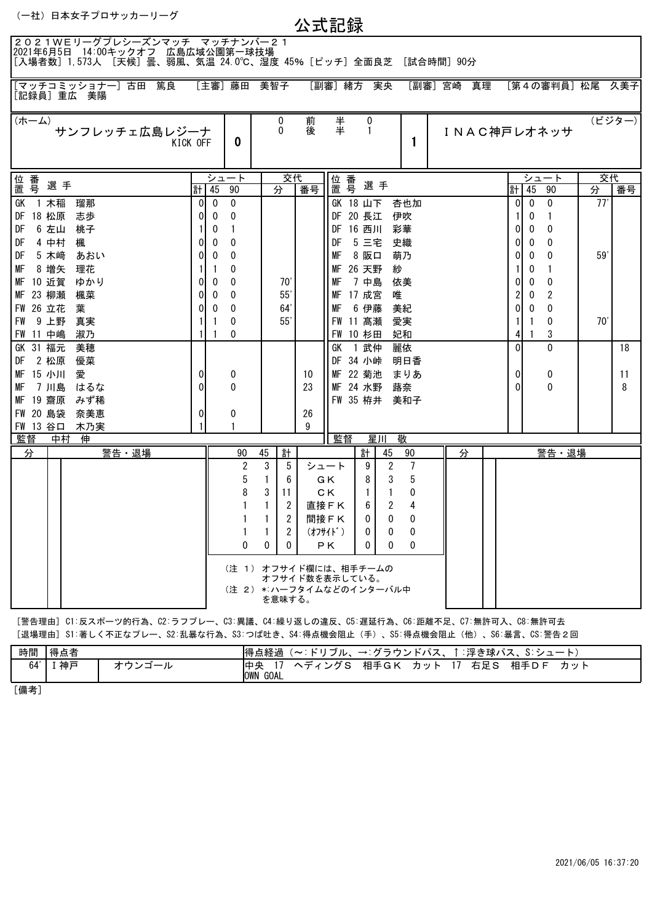| (一社) 日本女子プロサッカーリーグ |  |
|--------------------|--|
|--------------------|--|

公式記録

| 2021WEリーグプレシーズンマッチ マッチナンバー21<br>2021年6月5日 14:00キックオフ 広島広域公園第一球技場<br>[入場者数]1,573人 [天候]曇、弱風、気温 24.0℃、湿度 45%[ピッチ]全面良芝 [試合時間]90分 |          |              |                |              |                |        |                                                                     |                   |                     |   |            |          |              |                   |     |         |
|------------------------------------------------------------------------------------------------------------------------------|----------|--------------|----------------|--------------|----------------|--------|---------------------------------------------------------------------|-------------------|---------------------|---|------------|----------|--------------|-------------------|-----|---------|
| [マッチコミッショナー] 古田 篤良<br>[記録員]重広 美陽                                                                                             |          |              | [主審] 藤田 美智子    |              |                |        | [副審] 緒方 実央                                                          |                   |                     |   | [副審] 宮崎 真理 |          |              | [第4の審判員] 松尾 久美子   |     |         |
| (ホーム)<br>サンフレッチェ広島レジーナ<br>KICK OFF                                                                                           |          |              | 0              |              | 0<br>$\Omega$  | 前<br>後 | $\ddagger$                                                          | 0<br>$\mathbf{1}$ | 1                   |   |            |          |              | INAC神戸レオネッサ       |     | (ビジター)  |
| 位 番号                                                                                                                         |          |              | シュート           |              | 交代             |        | 位 番                                                                 |                   |                     |   |            |          |              | シュート              |     | 交代      |
| 選手                                                                                                                           |          | 計 45         | 90             | 分            |                | 番号     |                                                                     | 選手                |                     |   |            |          | 計145         | 90                | 分   | 番号      |
| 1 木稲<br>瑠那<br>GK                                                                                                             | $\Omega$ | $\mathbf{0}$ | $\mathbf 0$    |              |                |        | GK 18 山下                                                            |                   | 杏也加                 |   |            | $\Omega$ | $\mathbf{0}$ | $\Omega$          | 77' |         |
| 18 松原<br>志歩<br>DF                                                                                                            |          | 0            | 0              |              |                |        | DF 20 長江                                                            |                   | 伊吹                  |   |            |          | 0            | 1                 |     |         |
| 6 左山<br>DF<br>桃子                                                                                                             |          | 0            | 1              |              |                |        | DF 16 西川                                                            |                   | 彩華                  |   |            | ΩI       | 0            | 0                 |     |         |
| 楓<br>DF<br>4 中村                                                                                                              | 0        | 0            | 0              |              |                |        | DF                                                                  | 5 三宅              | 史織                  |   |            | 0        | 0            | 0                 |     |         |
| 5 木崎<br>DF<br>あおい                                                                                                            | 0        | $\Omega$     | $\Omega$       |              |                |        | МF                                                                  | 8 阪口              | 萌乃                  |   |            | 0        | 0            | 0                 | 59' |         |
| 8 増矢<br>理花<br>МF                                                                                                             |          | -1           | 0              |              |                |        | MF 26 天野                                                            |                   | 紗                   |   |            |          | 0            | 1                 |     |         |
| 10 近賀<br>ゆかり<br>МF                                                                                                           | $\Omega$ | 0            | $\Omega$       |              | 70'            |        | МF                                                                  | 7 中島              | 依美                  |   |            | 01       | $\Omega$     | 0                 |     |         |
| 23 柳瀬<br>楓菜<br>MF                                                                                                            | 0        | 0            | 0              |              | 55             |        | MF 17 成宮                                                            |                   | 唯                   |   |            |          | 0            | 2                 |     |         |
| FW 26 立花<br>葉                                                                                                                | 0        | 0            | 0              |              | 64             |        | МF                                                                  | 6 伊藤              | 美紀                  |   |            | 0        | 0            | $\mathbf{0}$      |     |         |
| 9 上野<br>FW<br>真実                                                                                                             |          | -1           | 0              |              | 55             |        | FW 11 高瀬                                                            |                   | 愛実                  |   |            |          |              | 0                 | 70' |         |
| 淑乃<br>FW 11 中嶋                                                                                                               |          |              | 0              |              |                |        | FW 10 杉田                                                            |                   | 妃和                  |   |            | $\Omega$ |              | 3<br>0            |     |         |
| 31 福元<br>美穂<br>GK<br>2 松原                                                                                                    |          |              |                |              |                |        | GK                                                                  | 1 武仲              | 麗依<br>明日香           |   |            |          |              |                   |     | 18      |
| DF<br>優菜<br>15 小川<br>МF                                                                                                      | 0        |              |                |              |                | 10     | DF 34 小峠<br>MF 22 菊池                                                |                   |                     |   |            | 0        |              |                   |     |         |
| 愛<br>7 川島<br>はるな<br>МF                                                                                                       | $\Omega$ |              | 0<br>$\Omega$  |              |                | 23     | MF 24 水野                                                            |                   | まりあ<br>蕗奈           |   |            | $\Omega$ |              | 0<br>$\mathbf{0}$ |     | 11<br>8 |
| みず稀<br>МF<br>19 齋原                                                                                                           |          |              |                |              |                |        | FW 35 栫井                                                            |                   | 美和子                 |   |            |          |              |                   |     |         |
| FW 20 島袋<br>奈美恵                                                                                                              | $\Omega$ |              | 0              |              |                | 26     |                                                                     |                   |                     |   |            |          |              |                   |     |         |
| FW 13 谷口<br>木乃実                                                                                                              |          |              |                |              |                | 9      |                                                                     |                   |                     |   |            |          |              |                   |     |         |
| 監督<br>中村<br>伸                                                                                                                |          |              |                |              |                |        | 監督                                                                  | 星川                | 敬                   |   |            |          |              |                   |     |         |
| 警告·退場<br>分                                                                                                                   |          |              | 90             | 45           | 計              |        |                                                                     | 計                 | 45<br>90            | 分 |            |          |              | 警告・退場             |     |         |
|                                                                                                                              |          |              | $\overline{2}$ | 3            | 5              |        | シュート                                                                | 9                 | 7<br>$\overline{2}$ |   |            |          |              |                   |     |         |
|                                                                                                                              |          |              | 5              | $\mathbf{1}$ | 6              |        | GK.                                                                 | 8                 | 5<br>3              |   |            |          |              |                   |     |         |
|                                                                                                                              |          |              | 8              | 3            | 11             |        | C K                                                                 | $\mathbf{1}$      | 0<br>1              |   |            |          |              |                   |     |         |
|                                                                                                                              |          |              | 1              | $\mathbf{1}$ | 2              |        | 直接FK                                                                | 6                 | 2<br>4              |   |            |          |              |                   |     |         |
|                                                                                                                              |          |              | 1              | 1            | $\overline{2}$ |        | 間接FK                                                                | 0                 | $\mathbf{0}$<br>0   |   |            |          |              |                   |     |         |
|                                                                                                                              |          |              | 1              | 1            | $\overline{2}$ |        | (オフサイド)                                                             | 0                 | 0<br>0              |   |            |          |              |                   |     |         |
|                                                                                                                              |          |              | 0              | 0            | $\mathbf{0}$   |        | PK                                                                  | $\mathbf{0}$      | 0<br>$\Omega$       |   |            |          |              |                   |     |         |
|                                                                                                                              |          |              |                |              | を意味する。         |        | (注 1) オフサイド欄には、相手チームの<br>オフサイド数を表示している。<br>(注 2) *:ハーフタイムなどのインターバル中 |                   |                     |   |            |          |              |                   |     |         |

[警告理由] C1:反スポーツ的行為、C2:ラフプレー、C3:異議、C4:繰り返しの違反、C5:遅延行為、C6:距離不足、C7:無許可入、C8:無許可去 [退場理由] S1:著しく不正なプレー、S2:乱暴な行為、S3:つば吐き、S4:得点機会阻止(手)、S5:得点機会阻止(他)、S6:暴言、CS:警告2回

| 時間  | --<br>特点有 | 得点経過                          | - K 11<br>゙゙゙゙゙゙゙゙゙゙゙゙゙゚゙゙゙゙ル、<br>$\tilde{\phantom{a}}$ | - ゴニ 宀 ヽ.<br>$\rightarrow$ | $\sim$<br>→ドパス、 | .浮き球/* | $\mathbf{c} \cdot \mathbf{c}$<br>$\sim$ $\rightarrow$<br>៶∧. | __<br>$\sim$ |
|-----|-----------|-------------------------------|---------------------------------------------------------|----------------------------|-----------------|--------|--------------------------------------------------------------|--------------|
| 64' | 神戸        | 陆山<br>╯<br><b>GOAL</b><br>OWN | ,ガ c<br>-                                               | 相手GK                       | カッ<br>-         | 右足S    | 相手DF                                                         | カット          |

[備考]